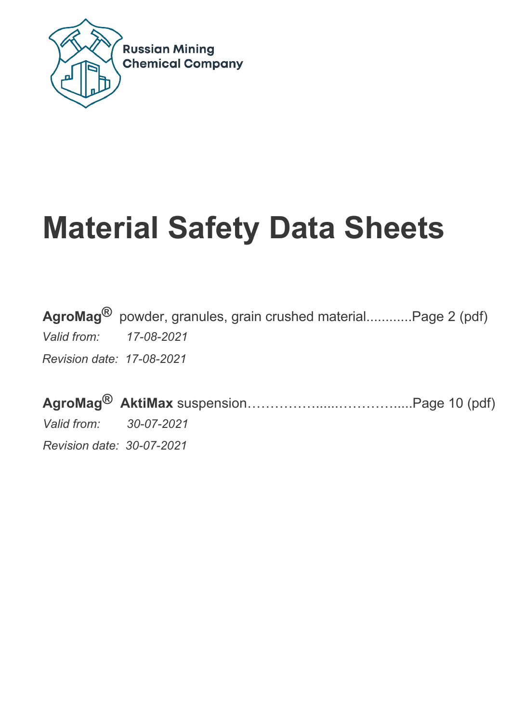

# **Material Safety Data Sheets**

**AgroMag®** powder, granules, grain crushed material............Page 2 (pdf) *Valid from: 17-08-2021 Revision date: 17-08-2021*

**AgroMag® AktiMax** suspension……………......………….....Page 10 (pdf) *Valid from: 30-07-2021 Revision date: 30-07-2021*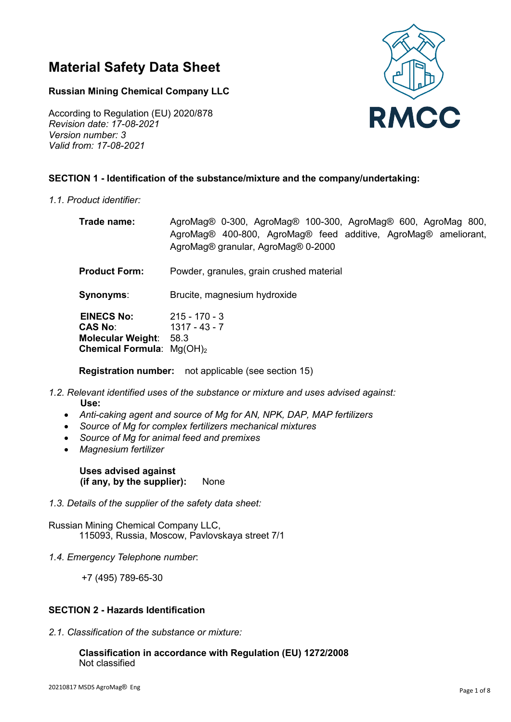# **Material Safety Data Sheet**

# **Russian Mining Chemical Company LLC**

**RMCC** 

According to Regulation (EU) 2020/878 *Revision date: 17-08-2021 Version number: 3 Valid from: 17-08-2021*

# **SECTION 1 - Identification of the substance/mixture and the company/undertaking:**

*1.1. Product identifier:*

| Trade name:                                                                                            | AgroMag® 0-300, AgroMag® 100-300, AgroMag® 600, AgroMag 800,<br>AgroMag® 400-800, AgroMag® feed additive, AgroMag® ameliorant,<br>AgroMag® granular, AgroMag® 0-2000 |
|--------------------------------------------------------------------------------------------------------|----------------------------------------------------------------------------------------------------------------------------------------------------------------------|
| <b>Product Form:</b>                                                                                   | Powder, granules, grain crushed material                                                                                                                             |
| Synonyms:                                                                                              | Brucite, magnesium hydroxide                                                                                                                                         |
| <b>EINECS No:</b><br><b>CAS No:</b><br><b>Molecular Weight:</b><br><b>Chemical Formula:</b> $Mg(OH)_2$ | $215 - 170 - 3$<br>$1317 - 43 - 7$<br>58.3                                                                                                                           |

**Registration number:** not applicable (see section 15)

- *1.2. Relevant identified uses of the substance or mixture and uses advised against:*   **Use:**
	- *Anti-caking agent and source of Mg for AN, NPK, DAP, MAP fertilizers*
	- *Source of Mg for complex fertilizers mechanical mixtures*
	- *Source of Mg for animal feed and premixes*
	- *Magnesium fertilizer*

**Uses advised against (if any, by the supplier):** None

*1.3. Details of the supplier of the safety data sheet:*

Russian Mining Chemical Company LLC, 115093, Russia, Moscow, Pavlovskaya street 7/1

*1.4. Emergency Telephon*e *number*:

+7 (495) 789-65-30

# **SECTION 2 - Hazards Identification**

*2.1. Classification of the substance or mixture:* 

#### **Classification in accordance with Regulation (EU) 1272/2008** Not classified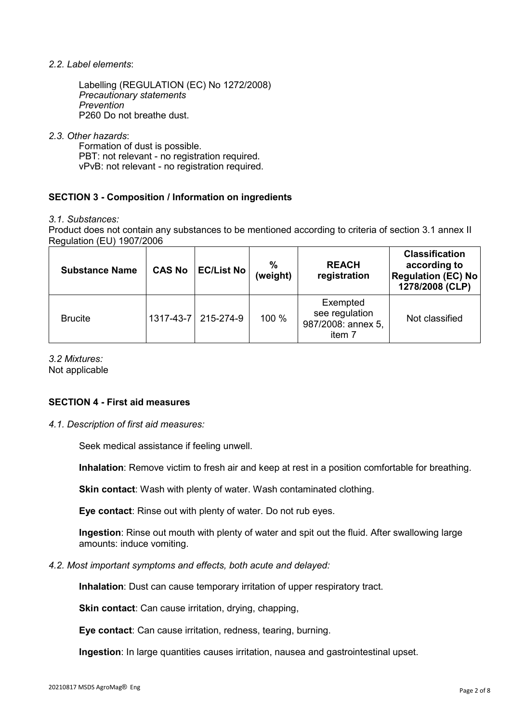#### *2.2. Label elements*:

Labelling (REGULATION (EC) No 1272/2008) *Precautionary statements Prevention* P260 Do not breathe dust.

#### *2.3. Other hazards*:

Formation of dust is possible. PBT: not relevant - no registration required. vPvB: not relevant - no registration required.

# **SECTION 3 - Composition / Information on ingredients**

*3.1. Substances:*

Product does not contain any substances to be mentioned according to criteria of section 3.1 annex II Regulation (EU) 1907/2006

| <b>Substance Name</b> | <b>CAS No</b> | <b>EC/List No</b> | %<br>(weight) | <b>REACH</b><br>registration                               | <b>Classification</b><br>according to<br><b>Regulation (EC) No</b><br>1278/2008 (CLP) |
|-----------------------|---------------|-------------------|---------------|------------------------------------------------------------|---------------------------------------------------------------------------------------|
| <b>Brucite</b>        | 1317-43-7     | 215-274-9         | 100 %         | Exempted<br>see regulation<br>987/2008: annex 5,<br>item 7 | Not classified                                                                        |

#### *3.2 Mixtures:*

Not applicable

#### **SECTION 4 - First aid measures**

*4.1. Description of first aid measures:*

Seek medical assistance if feeling unwell.

**Inhalation**: Remove victim to fresh air and keep at rest in a position comfortable for breathing.

**Skin contact**: Wash with plenty of water. Wash contaminated clothing.

**Eye contact**: Rinse out with plenty of water. Do not rub eyes.

**Ingestion**: Rinse out mouth with plenty of water and spit out the fluid. After swallowing large amounts: induce vomiting.

#### *4.2. Most important symptoms and effects, both acute and delayed:*

**Inhalation**: Dust can cause temporary irritation of upper respiratory tract.

**Skin contact:** Can cause irritation, drying, chapping,

**Eye contact**: Can cause irritation, redness, tearing, burning.

**Ingestion**: In large quantities causes irritation, nausea and gastrointestinal upset.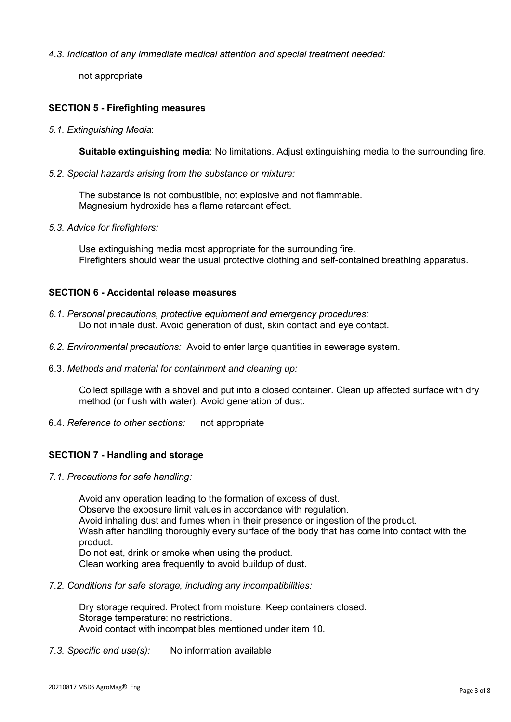#### *4.3. Indication of any immediate medical attention and special treatment needed:*

not appropriate

# **SECTION 5 - Firefighting measures**

*5.1. Extinguishing Media*:

**Suitable extinguishing media**: No limitations. Adjust extinguishing media to the surrounding fire.

*5.2. Special hazards arising from the substance or mixture:*

The substance is not combustible, not explosive and not flammable. Magnesium hydroxide has a flame retardant effect.

*5.3. Advice for firefighters:*

Use extinguishing media most appropriate for the surrounding fire. Firefighters should wear the usual protective clothing and self-contained breathing apparatus.

#### **SECTION 6 - Accidental release measures**

- *6.1. Personal precautions, protective equipment and emergency procedures:*  Do not inhale dust. Avoid generation of dust, skin contact and eye contact.
- *6.2. Environmental precautions:* Avoid to enter large quantities in sewerage system.
- 6.3. *Methods and material for containment and cleaning up:*

Collect spillage with a shovel and put into a closed container. Clean up affected surface with dry method (or flush with water). Avoid generation of dust.

6.4. *Reference to other sections:* not appropriate

# **SECTION 7 - Handling and storage**

*7.1. Precautions for safe handling:*

Avoid any operation leading to the formation of excess of dust. Observe the exposure limit values in accordance with regulation. Avoid inhaling dust and fumes when in their presence or ingestion of the product. Wash after handling thoroughly every surface of the body that has come into contact with the product. Do not eat, drink or smoke when using the product.

Clean working area frequently to avoid buildup of dust.

*7.2. Conditions for safe storage, including any incompatibilities:*

Dry storage required. Protect from moisture. Keep containers closed. Storage temperature: no restrictions. Avoid contact with incompatibles mentioned under item 10.

*7.3. Specific end use(s):* No information available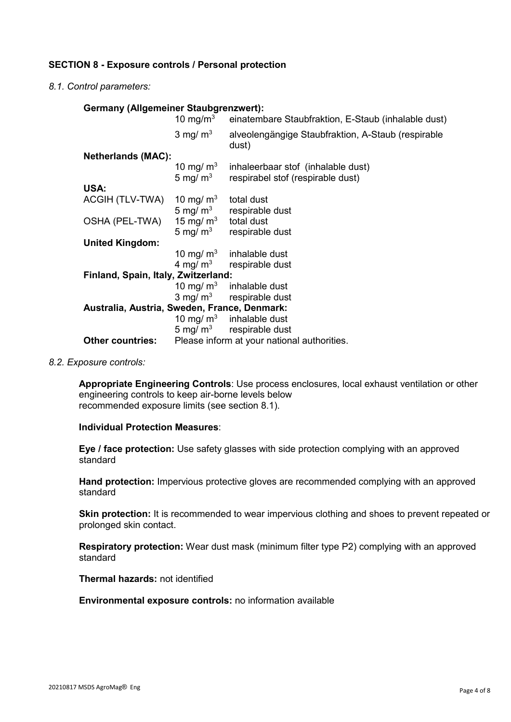# **SECTION 8 - Exposure controls / Personal protection**

*8.1. Control parameters:*

#### **Germany (Allgemeiner Staubgrenzwert):**

|                                              | 10 mg/m $3$ | einatembare Staubfraktion, E-Staub (inhalable dust)         |  |
|----------------------------------------------|-------------|-------------------------------------------------------------|--|
|                                              | 3 mg/ $m3$  | alveolengängige Staubfraktion, A-Staub (respirable<br>dust) |  |
| <b>Netherlands (MAC):</b>                    |             |                                                             |  |
|                                              | 10 mg/ $m3$ | inhaleerbaar stof (inhalable dust)                          |  |
|                                              | 5 mg/ $m3$  | respirabel stof (respirable dust)                           |  |
| USA:                                         |             |                                                             |  |
| ACGIH (TLV-TWA)                              | 10 mg/ $m3$ | total dust                                                  |  |
|                                              | 5 mg/ $m3$  | respirable dust                                             |  |
| OSHA (PEL-TWA)                               | 15 mg/ $m3$ | total dust                                                  |  |
|                                              | 5 mg/ $m3$  | respirable dust                                             |  |
| <b>United Kingdom:</b>                       |             |                                                             |  |
|                                              | 10 mg/ $m3$ | inhalable dust                                              |  |
|                                              |             | $4 \text{ mg/m}^3$ respirable dust                          |  |
| Finland, Spain, Italy, Zwitzerland:          |             |                                                             |  |
|                                              | 10 mg/ $m3$ | inhalable dust                                              |  |
|                                              |             | $3 \text{ mg/m}^3$ respirable dust                          |  |
| Australia, Austria, Sweden, France, Denmark: |             |                                                             |  |
|                                              |             | 10 mg/ $m3$ inhalable dust                                  |  |
|                                              | 5 mg/ $m3$  | respirable dust                                             |  |
| <b>Other countries:</b>                      |             | Please inform at your national authorities.                 |  |

#### *8.2. Exposure controls:*

**Appropriate Engineering Controls**: Use process enclosures, local exhaust ventilation or other engineering controls to keep air-borne levels below recommended exposure limits (see section 8.1).

#### **Individual Protection Measures**:

**Eye / face protection:** Use safety glasses with side protection complying with an approved standard

**Hand protection:** Impervious protective gloves are recommended complying with an approved standard

**Skin protection:** It is recommended to wear impervious clothing and shoes to prevent repeated or prolonged skin contact.

**Respiratory protection:** Wear dust mask (minimum filter type P2) complying with an approved standard

**Thermal hazards:** not identified

**Environmental exposure controls:** no information available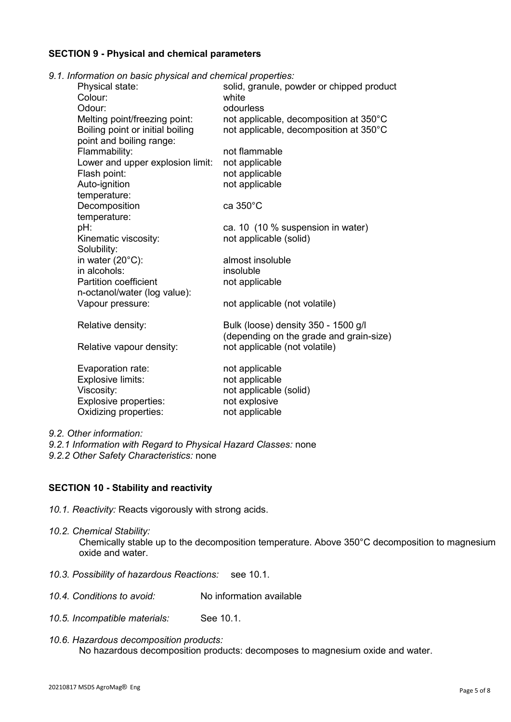#### **SECTION 9 - Physical and chemical parameters**

*9.1. Information on basic physical and chemical properties:*

| nomianon on pasic priysical and chemical properties. |                                           |
|------------------------------------------------------|-------------------------------------------|
| Physical state:                                      | solid, granule, powder or chipped product |
| Colour:                                              | white                                     |
| Odour:                                               | odourless                                 |
| Melting point/freezing point:                        | not applicable, decomposition at 350°C    |
| Boiling point or initial boiling                     | not applicable, decomposition at 350°C    |
| point and boiling range:                             |                                           |
| Flammability:                                        | not flammable                             |
| Lower and upper explosion limit:                     | not applicable                            |
| Flash point:                                         | not applicable                            |
| Auto-ignition                                        | not applicable                            |
| temperature:                                         |                                           |
| Decomposition                                        | ca 350°C                                  |
| temperature:                                         |                                           |
| pH:                                                  | ca. 10 (10 % suspension in water)         |
| Kinematic viscosity:                                 | not applicable (solid)                    |
| Solubility:                                          |                                           |
| in water (20°C):                                     | almost insoluble                          |
| in alcohols:                                         | insoluble                                 |
| <b>Partition coefficient</b>                         | not applicable                            |
| n-octanol/water (log value):                         |                                           |
| Vapour pressure:                                     | not applicable (not volatile)             |
|                                                      |                                           |
| Relative density:                                    | Bulk (loose) density 350 - 1500 g/l       |
|                                                      | (depending on the grade and grain-size)   |
| Relative vapour density:                             | not applicable (not volatile)             |
|                                                      |                                           |
| Evaporation rate:                                    | not applicable                            |
| Explosive limits:                                    | not applicable                            |
| Viscosity:                                           | not applicable (solid)                    |
| Explosive properties:                                | not explosive                             |
| Oxidizing properties:                                | not applicable                            |
|                                                      |                                           |

*9.2. Other information:* 

*9.2.1 Information with Regard to Physical Hazard Classes:* none *9.2.2 Other Safety Characteristics:* none

#### **SECTION 10 - Stability and reactivity**

- *10.1. Reactivity:* Reacts vigorously with strong acids.
- *10.2. Chemical Stability:* Chemically stable up to the decomposition temperature. Above 350°C decomposition to magnesium oxide and water.
- *10.3. Possibility of hazardous Reactions:* see 10.1.
- *10.4. Conditions to avoid:* No information available
- *10.5. Incompatible materials:* See 10.1.
- *10.6. Hazardous decomposition products:* No hazardous decomposition products: decomposes to magnesium oxide and water.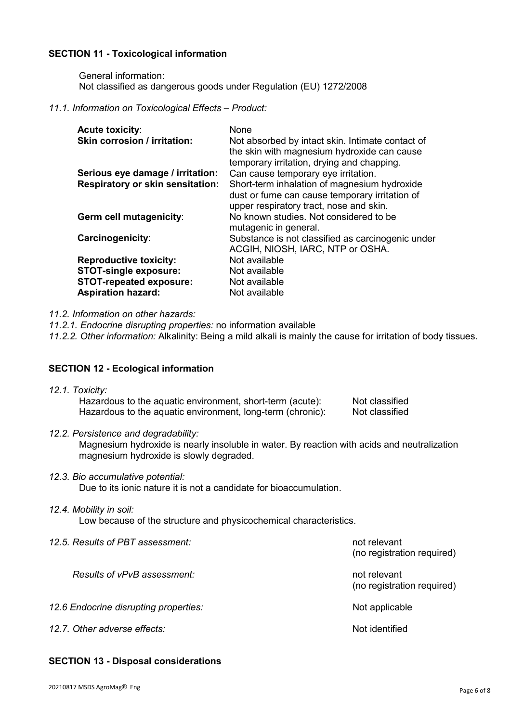# **SECTION 11 - Toxicological information**

General information: Not classified as dangerous goods under Regulation (EU) 1272/2008

#### *11.1. Information on Toxicological Effects – Product:*

| <b>Acute toxicity:</b><br><b>Skin corrosion / irritation:</b> | None<br>Not absorbed by intact skin. Intimate contact of<br>the skin with magnesium hydroxide can cause<br>temporary irritation, drying and chapping. |
|---------------------------------------------------------------|-------------------------------------------------------------------------------------------------------------------------------------------------------|
| Serious eye damage / irritation:                              | Can cause temporary eye irritation.                                                                                                                   |
| <b>Respiratory or skin sensitation:</b>                       | Short-term inhalation of magnesium hydroxide<br>dust or fume can cause temporary irritation of<br>upper respiratory tract, nose and skin.             |
| Germ cell mutagenicity:                                       | No known studies. Not considered to be<br>mutagenic in general.                                                                                       |
| Carcinogenicity:                                              | Substance is not classified as carcinogenic under<br>ACGIH, NIOSH, IARC, NTP or OSHA.                                                                 |
| <b>Reproductive toxicity:</b>                                 | Not available                                                                                                                                         |
| <b>STOT-single exposure:</b>                                  | Not available                                                                                                                                         |
| <b>STOT-repeated exposure:</b>                                | Not available                                                                                                                                         |
| <b>Aspiration hazard:</b>                                     | Not available                                                                                                                                         |

*11.2. Information on other hazards:* 

*11.2.1. Endocrine disrupting properties:* no information available

*11.2.2. Other information:* Alkalinity: Being a mild alkali is mainly the cause for irritation of body tissues.

#### **SECTION 12 - Ecological information**

- *12.1. Toxicity:*  Hazardous to the aquatic environment, short-term (acute): Not classified Hazardous to the aquatic environment, long-term (chronic): Not classified
- *12.2. Persistence and degradability:*

Magnesium hydroxide is nearly insoluble in water. By reaction with acids and neutralization magnesium hydroxide is slowly degraded.

*12.3. Bio accumulative potential:*

Due to its ionic nature it is not a candidate for bioaccumulation.

*12.4. Mobility in soil:* 

Low because of the structure and physicochemical characteristics.

| 12.5. Results of PBT assessment:      | not relevant<br>(no registration required) |  |
|---------------------------------------|--------------------------------------------|--|
| Results of vPvB assessment:           | not relevant<br>(no registration required) |  |
| 12.6 Endocrine disrupting properties: | Not applicable                             |  |
| 12.7. Other adverse effects:          | Not identified                             |  |

#### **SECTION 13 - Disposal considerations**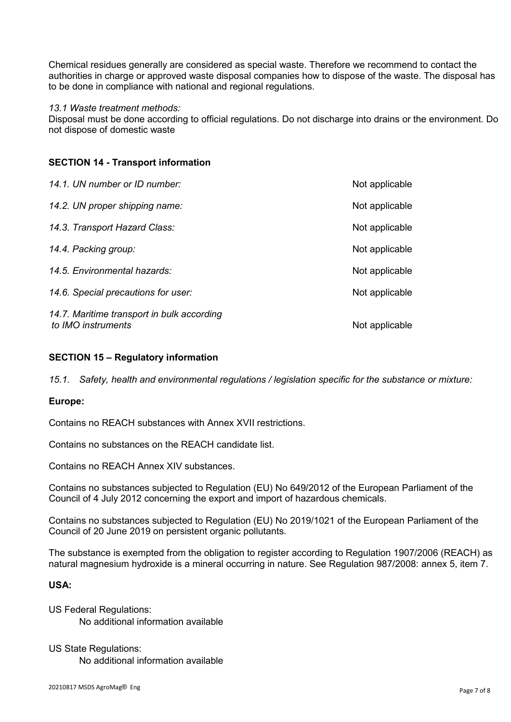Chemical residues generally are considered as special waste. Therefore we recommend to contact the authorities in charge or approved waste disposal companies how to dispose of the waste. The disposal has to be done in compliance with national and regional regulations.

#### *13.1 Waste treatment methods:*

Disposal must be done according to official regulations. Do not discharge into drains or the environment. Do not dispose of domestic waste

# **SECTION 14 - Transport information**

| 14.1. UN number or ID number:                                    | Not applicable |
|------------------------------------------------------------------|----------------|
| 14.2. UN proper shipping name:                                   | Not applicable |
| 14.3. Transport Hazard Class:                                    | Not applicable |
| 14.4. Packing group:                                             | Not applicable |
| 14.5. Environmental hazards:                                     | Not applicable |
| 14.6. Special precautions for user:                              | Not applicable |
| 14.7. Maritime transport in bulk according<br>to IMO instruments | Not applicable |

# **SECTION 15 – Regulatory information**

*15.1. Safety, health and environmental regulations / legislation specific for the substance or mixture:* 

# **Europe:**

Contains no REACH substances with Annex XVII restrictions.

Contains no substances on the REACH candidate list.

Contains no REACH Annex XIV substances.

Contains no substances subjected to Regulation (EU) No 649/2012 of the European Parliament of the Council of 4 July 2012 concerning the export and import of hazardous chemicals.

Contains no substances subjected to Regulation (EU) No 2019/1021 of the European Parliament of the Council of 20 June 2019 on persistent organic pollutants.

The substance is exempted from the obligation to register according to Regulation 1907/2006 (REACH) as natural magnesium hydroxide is a mineral occurring in nature. See Regulation 987/2008: annex 5, item 7.

# **USA:**

US Federal Regulations: No additional information available

US State Regulations: No additional information available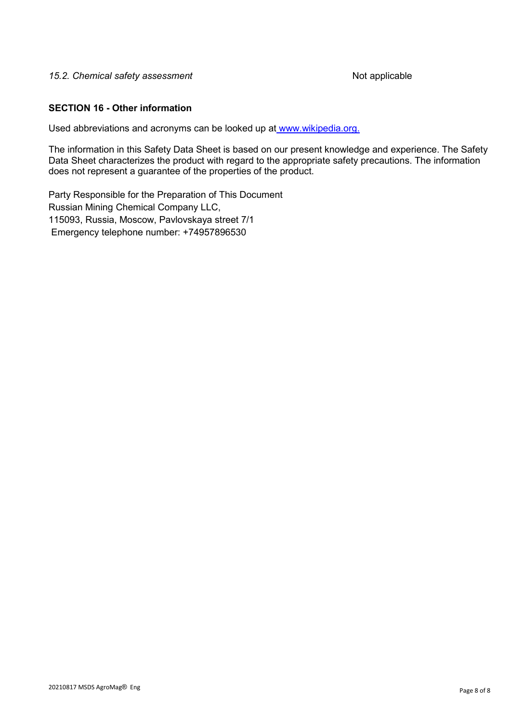#### 15.2. Chemical safety assessment and the matrix of the Not applicable

#### **SECTION 16 - Other information**

Used abbreviations and acronyms can be looked up at [www.wikipedia.org.](http://www.wikipedia.org/)

The information in this Safety Data Sheet is based on our present knowledge and experience. The Safety Data Sheet characterizes the product with regard to the appropriate safety precautions. The information does not represent a guarantee of the properties of the product.

Party Responsible for the Preparation of This Document Russian Mining Chemical Company LLC, 115093, Russia, Moscow, Pavlovskaya street 7/1 Emergency telephone number: +74957896530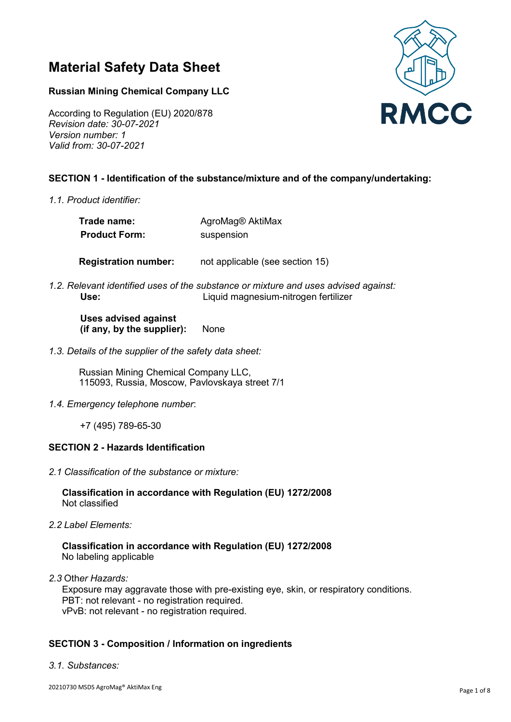# **Material Safety Data Sheet**

# **Russian Mining Chemical Company LLC**

According to Regulation (EU) 2020/878 *Revision date: 30-07-2021 Version number: 1 Valid from: 30-07-2021* 

# **SECTION 1 - Identification of the substance/mixture and of the company/undertaking:**

*1.1. Product identifier:*

| Trade name:          | AgroMag® AktiMax |
|----------------------|------------------|
| <b>Product Form:</b> | suspension       |

**Registration number:** not applicable (see section 15)

*1.2. Relevant identified uses of the substance or mixture and uses advised against:*   **Use:**Liquid magnesium-nitrogen fertilizer

#### **Uses advised against (if any, by the supplier):** None

*1.3. Details of the supplier of the safety data sheet:*

Russian Mining Chemical Company LLC, 115093, Russia, Moscow, Pavlovskaya street 7/1

*1.4. Emergency telephon*e *number*:

+7 (495) 789-65-30

#### **SECTION 2 - Hazards Identification**

*2.1 Classification of the substance or mixture:* 

#### **Classification in accordance with Regulation (EU) 1272/2008** Not classified

*2.2 Label Elements:* 

#### **Classification in accordance with Regulation (EU) 1272/2008** No labeling applicable

*2.3* Oth*er Hazards:* 

Exposure may aggravate those with pre-existing eye, skin, or respiratory conditions. PBT: not relevant - no registration required. vPvB: not relevant - no registration required.

# **SECTION 3 - Composition / Information on ingredients**

*3.1. Substances:*

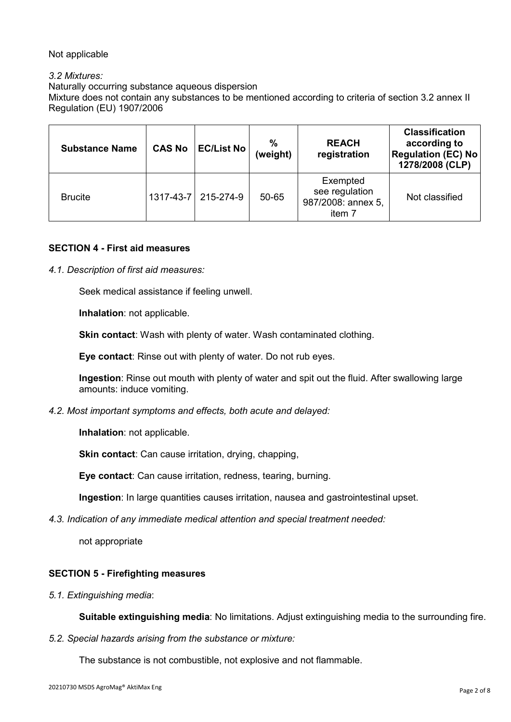# Not applicable

# *3.2 Mixtures:*

Naturally occurring substance aqueous dispersion

Mixture does not contain any substances to be mentioned according to criteria of section 3.2 annex II Regulation (EU) 1907/2006

| <b>Substance Name</b> | <b>CAS No</b> | <b>EC/List No</b>   | %<br>(weight) | <b>REACH</b><br>registration                               | <b>Classification</b><br>according to<br><b>Regulation (EC) No</b><br>1278/2008 (CLP) |
|-----------------------|---------------|---------------------|---------------|------------------------------------------------------------|---------------------------------------------------------------------------------------|
| <b>Brucite</b>        |               | 1317-43-7 215-274-9 | 50-65         | Exempted<br>see regulation<br>987/2008: annex 5,<br>item 7 | Not classified                                                                        |

#### **SECTION 4 - First aid measures**

*4.1. Description of first aid measures:*

Seek medical assistance if feeling unwell.

**Inhalation**: not applicable.

**Skin contact**: Wash with plenty of water. Wash contaminated clothing.

**Eye contact**: Rinse out with plenty of water. Do not rub eyes.

**Ingestion**: Rinse out mouth with plenty of water and spit out the fluid. After swallowing large amounts: induce vomiting.

*4.2. Most important symptoms and effects, both acute and delayed:*

**Inhalation**: not applicable.

**Skin contact:** Can cause irritation, drying, chapping,

**Eye contact**: Can cause irritation, redness, tearing, burning.

**Ingestion**: In large quantities causes irritation, nausea and gastrointestinal upset.

*4.3. Indication of any immediate medical attention and special treatment needed:*

not appropriate

# **SECTION 5 - Firefighting measures**

*5.1. Extinguishing media*:

**Suitable extinguishing media**: No limitations. Adjust extinguishing media to the surrounding fire.

*5.2. Special hazards arising from the substance or mixture:*

The substance is not combustible, not explosive and not flammable.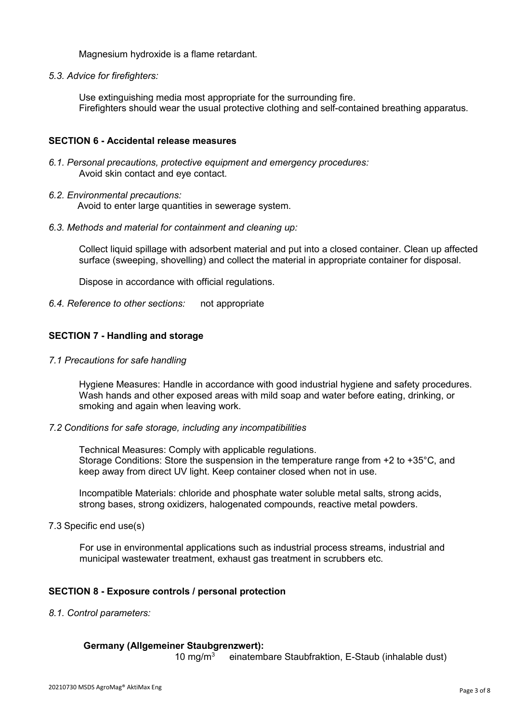Magnesium hydroxide is a flame retardant.

*5.3. Advice for firefighters:*

Use extinguishing media most appropriate for the surrounding fire. Firefighters should wear the usual protective clothing and self-contained breathing apparatus.

#### **SECTION 6 - Accidental release measures**

- *6.1. Personal precautions, protective equipment and emergency procedures:*  Avoid skin contact and eye contact.
- *6.2. Environmental precautions:*

Avoid to enter large quantities in sewerage system.

*6.3. Methods and material for containment and cleaning up:*

Collect liquid spillage with adsorbent material and put into a closed container. Clean up affected surface (sweeping, shovelling) and collect the material in appropriate container for disposal.

Dispose in accordance with official regulations.

*6.4. Reference to other sections:* not appropriate

# **SECTION 7 - Handling and storage**

*7.1 Precautions for safe handling*

Hygiene Measures: Handle in accordance with good industrial hygiene and safety procedures. Wash hands and other exposed areas with mild soap and water before eating, drinking, or smoking and again when leaving work.

#### *7.2 Conditions for safe storage, including any incompatibilities*

Technical Measures: Comply with applicable regulations. Storage Conditions: Store the suspension in the temperature range from +2 to +35°C, and keep away from direct UV light. Keep container closed when not in use.

Incompatible Materials: chloride and phosphate water soluble metal salts, strong acids, strong bases, strong oxidizers, halogenated compounds, reactive metal powders.

7.3 Specific end use(s)

For use in environmental applications such as industrial process streams, industrial and municipal wastewater treatment, exhaust gas treatment in scrubbers etc.

# **SECTION 8 - Exposure controls / personal protection**

*8.1. Control parameters:*

#### **Germany (Allgemeiner Staubgrenzwert):**

10 mg/m3 einatembare Staubfraktion, E-Staub (inhalable dust)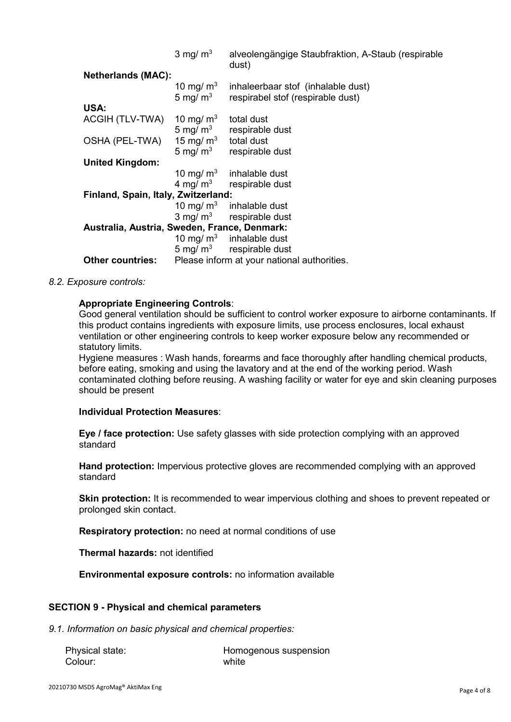|                                              | $3 \text{ mg/m}^3$        | alveolengängige Staubfraktion, A-Staub (respirable<br>dust)             |  |
|----------------------------------------------|---------------------------|-------------------------------------------------------------------------|--|
| <b>Netherlands (MAC):</b>                    |                           |                                                                         |  |
|                                              | 10 mg/ $m3$<br>5 mg/ $m3$ | inhaleerbaar stof (inhalable dust)<br>respirabel stof (respirable dust) |  |
| USA:                                         |                           |                                                                         |  |
| ACGIH (TLV-TWA) $10 \text{ mg/m}^3$          |                           | total dust                                                              |  |
|                                              |                           | 5 mg/ $m3$ respirable dust                                              |  |
| OSHA (PEL-TWA)                               | 15 mg/ $m3$               | total dust                                                              |  |
|                                              | 5 mg/ $m3$                | respirable dust                                                         |  |
| <b>United Kingdom:</b>                       |                           |                                                                         |  |
|                                              | 10 mg/ $m3$               | inhalable dust                                                          |  |
|                                              |                           | $4 \text{ mg/m}^3$ respirable dust                                      |  |
| Finland, Spain, Italy, Zwitzerland:          |                           |                                                                         |  |
|                                              | 10 mg/ $m3$               | inhalable dust                                                          |  |
|                                              |                           | $3 \text{ mg/m}^3$ respirable dust                                      |  |
| Australia, Austria, Sweden, France, Denmark: |                           |                                                                         |  |
|                                              |                           | 10 mg/ $m3$ inhalable dust                                              |  |
|                                              | 5 mg/ $m3$                | respirable dust                                                         |  |
| <b>Other countries:</b>                      |                           | Please inform at your national authorities.                             |  |

#### *8.2. Exposure controls:*

#### **Appropriate Engineering Controls**:

Good general ventilation should be sufficient to control worker exposure to airborne contaminants. If this product contains ingredients with exposure limits, use process enclosures, local exhaust ventilation or other engineering controls to keep worker exposure below any recommended or statutory limits.

Hygiene measures : Wash hands, forearms and face thoroughly after handling chemical products, before eating, smoking and using the lavatory and at the end of the working period. Wash contaminated clothing before reusing. A washing facility or water for eye and skin cleaning purposes should be present

#### **Individual Protection Measures**:

**Eye / face protection:** Use safety glasses with side protection complying with an approved standard

**Hand protection:** Impervious protective gloves are recommended complying with an approved standard

**Skin protection:** It is recommended to wear impervious clothing and shoes to prevent repeated or prolonged skin contact.

**Respiratory protection:** no need at normal conditions of use

**Thermal hazards:** not identified

**Environmental exposure controls:** no information available

#### **SECTION 9 - Physical and chemical parameters**

*9.1. Information on basic physical and chemical properties:*

| Physical state: | Homogenous suspension |
|-----------------|-----------------------|
| Colour:         | white                 |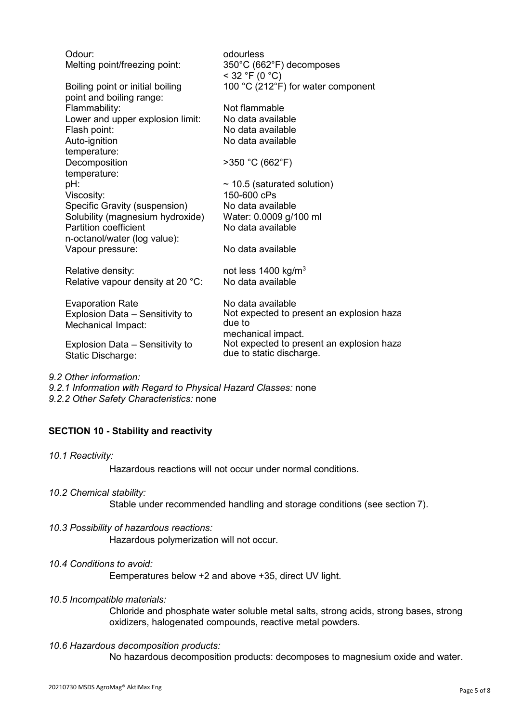| Odour:<br>Melting point/freezing point:                      | odourless<br>350°C (662°F) decomposes<br>$<$ 32 °F (0 °C) |
|--------------------------------------------------------------|-----------------------------------------------------------|
| Boiling point or initial boiling<br>point and boiling range: | 100 °C (212°F) for water component                        |
| Flammability:                                                | Not flammable                                             |
| Lower and upper explosion limit:                             | No data available                                         |
| Flash point:                                                 | No data available                                         |
| Auto-ignition                                                | No data available                                         |
| temperature:                                                 |                                                           |
| Decomposition                                                | >350 °C (662°F)                                           |
| temperature:                                                 |                                                           |
| pH:                                                          | $\sim$ 10.5 (saturated solution)                          |
| Viscosity:                                                   | 150-600 cPs                                               |
| Specific Gravity (suspension)                                | No data available                                         |
| Solubility (magnesium hydroxide)                             | Water: 0.0009 g/100 ml                                    |
| <b>Partition coefficient</b>                                 | No data available                                         |
| n-octanol/water (log value):                                 |                                                           |
| Vapour pressure:                                             | No data available                                         |
|                                                              |                                                           |
| Relative density:                                            | not less 1400 kg/m <sup>3</sup>                           |
| Relative vapour density at 20 °C:                            | No data available                                         |
|                                                              | No data available                                         |
| <b>Evaporation Rate</b><br>Explosion Data - Sensitivity to   | Not expected to present an explosion haza                 |
| Mechanical Impact:                                           | due to                                                    |
|                                                              | mechanical impact.                                        |
| Explosion Data - Sensitivity to                              | Not expected to present an explosion haza                 |
| Static Discharge:                                            | due to static discharge.                                  |
|                                                              |                                                           |
|                                                              |                                                           |

- *9.2 Other information:*
- *9.2.1 Information with Regard to Physical Hazard Classes:* none *9.2.2 Other Safety Characteristics:* none

# **SECTION 10 - Stability and reactivity**

*10.1 Reactivity:* 

Hazardous reactions will not occur under normal conditions.

*10.2 Chemical stability:* 

Stable under recommended handling and storage conditions (see section 7).

- *10.3 Possibility of hazardous reactions:*  Hazardous polymerization will not occur.
- *10.4 Conditions to avoid:*

Еemperatures below +2 and above +35, direct UV light.

*10.5 Incompatible materials:*

Chloride and phosphate water soluble metal salts, strong acids, strong bases, strong oxidizers, halogenated compounds, reactive metal powders.

*10.6 Hazardous decomposition products:* 

No hazardous decomposition products: decomposes to magnesium oxide and water.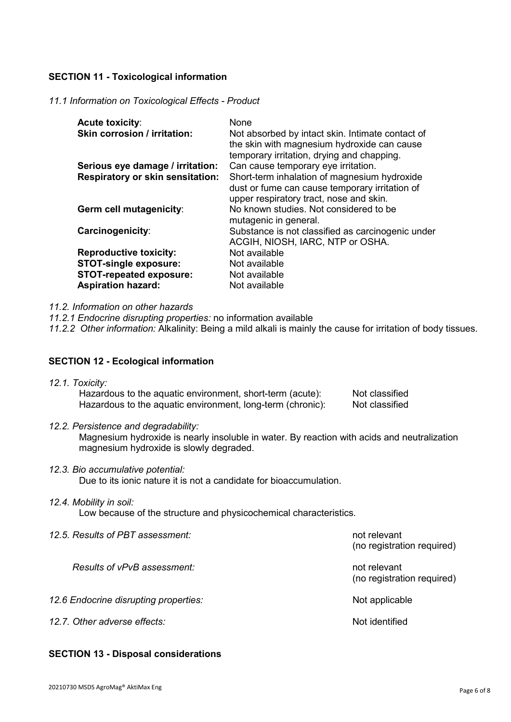# **SECTION 11 - Toxicological information**

#### *11.1 Information on Toxicological Effects - Product*

| <b>Acute toxicity:</b><br><b>Skin corrosion / irritation:</b> | None<br>Not absorbed by intact skin. Intimate contact of<br>the skin with magnesium hydroxide can cause<br>temporary irritation, drying and chapping. |
|---------------------------------------------------------------|-------------------------------------------------------------------------------------------------------------------------------------------------------|
| Serious eye damage / irritation:                              | Can cause temporary eye irritation.                                                                                                                   |
| <b>Respiratory or skin sensitation:</b>                       | Short-term inhalation of magnesium hydroxide                                                                                                          |
|                                                               | dust or fume can cause temporary irritation of<br>upper respiratory tract, nose and skin.                                                             |
| Germ cell mutagenicity:                                       | No known studies. Not considered to be                                                                                                                |
|                                                               | mutagenic in general.                                                                                                                                 |
| Carcinogenicity:                                              | Substance is not classified as carcinogenic under                                                                                                     |
|                                                               | ACGIH, NIOSH, IARC, NTP or OSHA.                                                                                                                      |
| <b>Reproductive toxicity:</b>                                 | Not available                                                                                                                                         |
| <b>STOT-single exposure:</b>                                  | Not available                                                                                                                                         |
| <b>STOT-repeated exposure:</b>                                | Not available                                                                                                                                         |
| <b>Aspiration hazard:</b>                                     | Not available                                                                                                                                         |

*11.2. Information on other hazards*

*11.2.1 Endocrine disrupting properties:* no information available

*11.2.2 Other information:* Alkalinity: Being a mild alkali is mainly the cause for irritation of body tissues.

#### **SECTION 12 - Ecological information**

| 12.1. Toxicity:                                            |                |
|------------------------------------------------------------|----------------|
| Hazardous to the aquatic environment, short-term (acute):  | Not classified |
| Hazardous to the aquatic environment, long-term (chronic): | Not classified |

*12.2. Persistence and degradability:*

Magnesium hydroxide is nearly insoluble in water. By reaction with acids and neutralization magnesium hydroxide is slowly degraded.

*12.3. Bio accumulative potential:*

Due to its ionic nature it is not a candidate for bioaccumulation.

#### *12.4. Mobility in soil:*

Low because of the structure and physicochemical characteristics.

*12.5. Results of PBT assessment:* not relevant

(no registration required)

*Results of vPvB assessment:* not relevant (no registration required)

12.6 Endocrine disrupting properties: Not applicable by a state of the Not applicable

12.7. Other adverse effects: Not identified by a set of the set of the set of the set of the set of the set of the set of the set of the set of the set of the set of the set of the set of the set of the set of the set of t

# **SECTION 13 - Disposal considerations**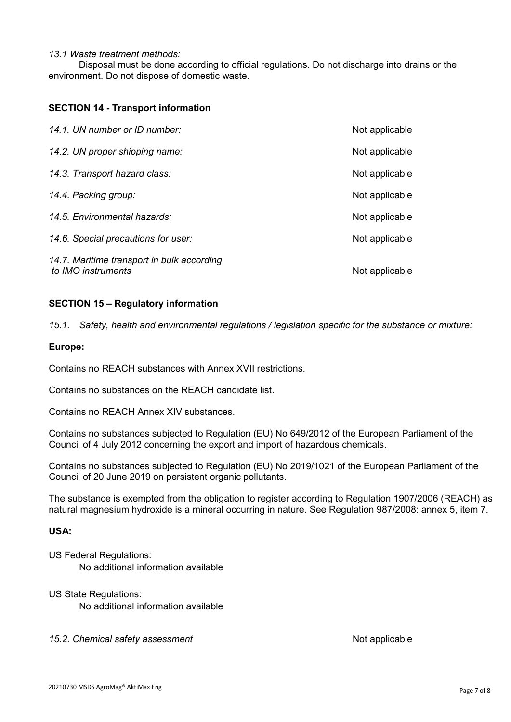#### *13.1 Waste treatment methods:*

Disposal must be done according to official regulations. Do not discharge into drains or the environment. Do not dispose of domestic waste.

#### **SECTION 14 - Transport information**

| 14.1. UN number or ID number:                                    | Not applicable |
|------------------------------------------------------------------|----------------|
| 14.2. UN proper shipping name:                                   | Not applicable |
| 14.3. Transport hazard class:                                    | Not applicable |
| 14.4. Packing group:                                             | Not applicable |
| 14.5. Environmental hazards:                                     | Not applicable |
| 14.6. Special precautions for user:                              | Not applicable |
| 14.7. Maritime transport in bulk according<br>to IMO instruments | Not applicable |

# **SECTION 15 – Regulatory information**

*15.1. Safety, health and environmental regulations / legislation specific for the substance or mixture:*

#### **Europe:**

Contains no REACH substances with Annex XVII restrictions.

Contains no substances on the REACH candidate list.

Contains no REACH Annex XIV substances.

Contains no substances subjected to Regulation (EU) No 649/2012 of the European Parliament of the Council of 4 July 2012 concerning the export and import of hazardous chemicals.

Contains no substances subjected to Regulation (EU) No 2019/1021 of the European Parliament of the Council of 20 June 2019 on persistent organic pollutants.

The substance is exempted from the obligation to register according to Regulation 1907/2006 (REACH) as natural magnesium hydroxide is a mineral occurring in nature. See Regulation 987/2008: annex 5, item 7.

# **USA:**

US Federal Regulations: No additional information available

US State Regulations:

No additional information available

15.2. Chemical safety assessment and the matter of the Not applicable